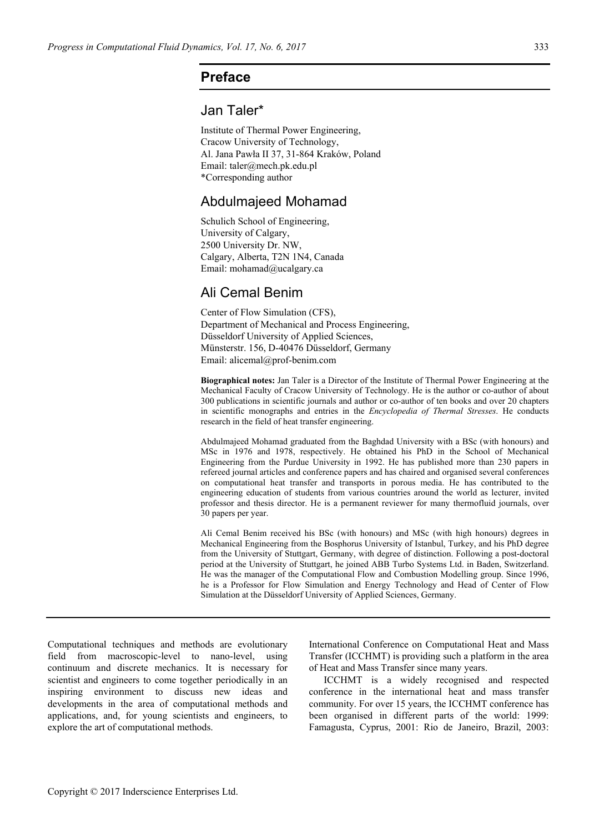### **Preface**

# Jan Taler\*

Institute of Thermal Power Engineering, Cracow University of Technology, Al. Jana Pawła II 37, 31-864 Kraków, Poland Email: taler@mech.pk.edu.pl \*Corresponding author

### Abdulmajeed Mohamad

Schulich School of Engineering, University of Calgary, 2500 University Dr. NW, Calgary, Alberta, T2N 1N4, Canada Email: mohamad@ucalgary.ca

## Ali Cemal Benim

Center of Flow Simulation (CFS), Department of Mechanical and Process Engineering, Düsseldorf University of Applied Sciences, Münsterstr. 156, D-40476 Düsseldorf, Germany Email: alicemal@prof-benim.com

**Biographical notes:** Jan Taler is a Director of the Institute of Thermal Power Engineering at the Mechanical Faculty of Cracow University of Technology. He is the author or co-author of about 300 publications in scientific journals and author or co-author of ten books and over 20 chapters in scientific monographs and entries in the *Encyclopedia of Thermal Stresses*. He conducts research in the field of heat transfer engineering.

Abdulmajeed Mohamad graduated from the Baghdad University with a BSc (with honours) and MSc in 1976 and 1978, respectively. He obtained his PhD in the School of Mechanical Engineering from the Purdue University in 1992. He has published more than 230 papers in refereed journal articles and conference papers and has chaired and organised several conferences on computational heat transfer and transports in porous media. He has contributed to the engineering education of students from various countries around the world as lecturer, invited professor and thesis director. He is a permanent reviewer for many thermofluid journals, over 30 papers per year.

Ali Cemal Benim received his BSc (with honours) and MSc (with high honours) degrees in Mechanical Engineering from the Bosphorus University of Istanbul, Turkey, and his PhD degree from the University of Stuttgart, Germany, with degree of distinction. Following a post-doctoral period at the University of Stuttgart, he joined ABB Turbo Systems Ltd. in Baden, Switzerland. He was the manager of the Computational Flow and Combustion Modelling group. Since 1996, he is a Professor for Flow Simulation and Energy Technology and Head of Center of Flow Simulation at the Düsseldorf University of Applied Sciences, Germany.

Computational techniques and methods are evolutionary field from macroscopic-level to nano-level, using continuum and discrete mechanics. It is necessary for scientist and engineers to come together periodically in an inspiring environment to discuss new ideas and developments in the area of computational methods and applications, and, for young scientists and engineers, to explore the art of computational methods.

International Conference on Computational Heat and Mass Transfer (ICCHMT) is providing such a platform in the area of Heat and Mass Transfer since many years.

ICCHMT is a widely recognised and respected conference in the international heat and mass transfer community. For over 15 years, the ICCHMT conference has been organised in different parts of the world: 1999: Famagusta, Cyprus, 2001: Rio de Janeiro, Brazil, 2003: